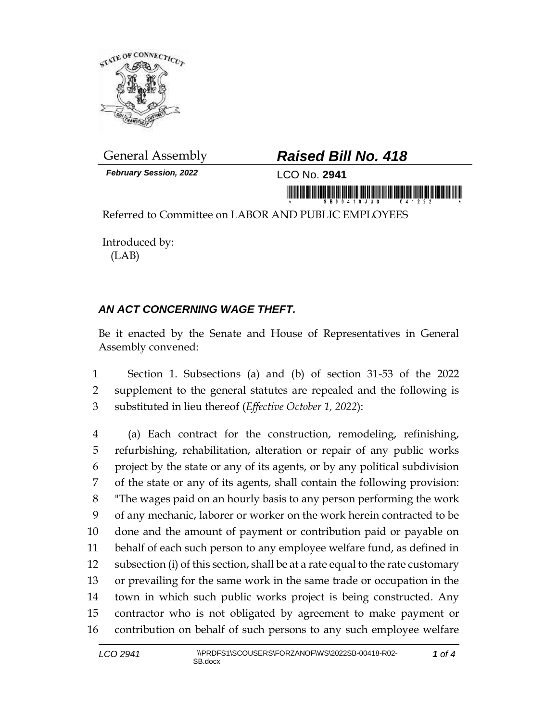

*February Session, 2022* LCO No. **2941**

## General Assembly *Raised Bill No. 418*

in monday is a state in the contract of the state of the state of the state of the state of the state of the s

Referred to Committee on LABOR AND PUBLIC EMPLOYEES

Introduced by: (LAB)

## *AN ACT CONCERNING WAGE THEFT.*

Be it enacted by the Senate and House of Representatives in General Assembly convened:

 Section 1. Subsections (a) and (b) of section 31-53 of the 2022 supplement to the general statutes are repealed and the following is substituted in lieu thereof (*Effective October 1, 2022*):

 (a) Each contract for the construction, remodeling, refinishing, refurbishing, rehabilitation, alteration or repair of any public works project by the state or any of its agents, or by any political subdivision of the state or any of its agents, shall contain the following provision: "The wages paid on an hourly basis to any person performing the work of any mechanic, laborer or worker on the work herein contracted to be done and the amount of payment or contribution paid or payable on behalf of each such person to any employee welfare fund, as defined in subsection (i) of this section, shall be at a rate equal to the rate customary or prevailing for the same work in the same trade or occupation in the town in which such public works project is being constructed. Any contractor who is not obligated by agreement to make payment or contribution on behalf of such persons to any such employee welfare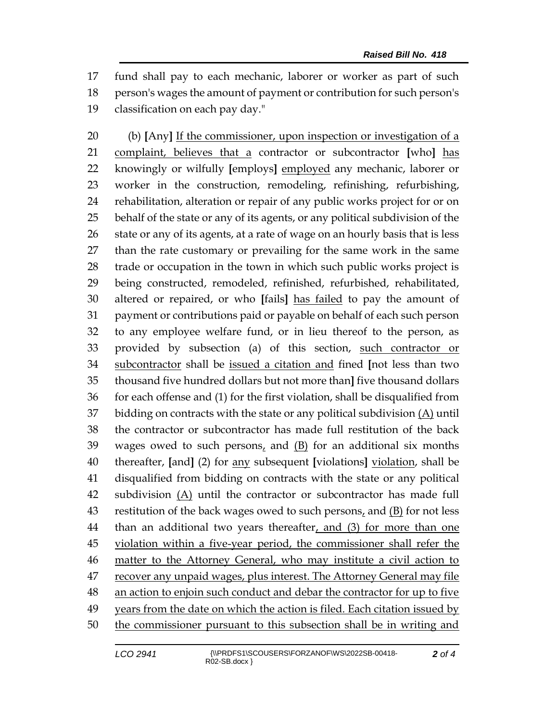fund shall pay to each mechanic, laborer or worker as part of such person's wages the amount of payment or contribution for such person's classification on each pay day."

 (b) **[**Any**]** If the commissioner, upon inspection or investigation of a complaint, believes that a contractor or subcontractor **[**who**]** has knowingly or wilfully **[**employs**]** employed any mechanic, laborer or worker in the construction, remodeling, refinishing, refurbishing, rehabilitation, alteration or repair of any public works project for or on behalf of the state or any of its agents, or any political subdivision of the 26 state or any of its agents, at a rate of wage on an hourly basis that is less than the rate customary or prevailing for the same work in the same trade or occupation in the town in which such public works project is being constructed, remodeled, refinished, refurbished, rehabilitated, altered or repaired, or who **[**fails**]** has failed to pay the amount of payment or contributions paid or payable on behalf of each such person to any employee welfare fund, or in lieu thereof to the person, as provided by subsection (a) of this section, such contractor or subcontractor shall be issued a citation and fined **[**not less than two thousand five hundred dollars but not more than**]** five thousand dollars for each offense and (1) for the first violation, shall be disqualified from 37 bidding on contracts with the state or any political subdivision  $(A)$  until the contractor or subcontractor has made full restitution of the back wages owed to such persons, and (B) for an additional six months thereafter, **[**and**]** (2) for any subsequent **[**violations**]** violation, shall be disqualified from bidding on contracts with the state or any political 42 subdivision  $(A)$  until the contractor or subcontractor has made full restitution of the back wages owed to such persons, and (B) for not less 44 than an additional two years thereafter, and (3) for more than one 45 violation within a five-year period, the commissioner shall refer the matter to the Attorney General, who may institute a civil action to recover any unpaid wages, plus interest. The Attorney General may file an action to enjoin such conduct and debar the contractor for up to five years from the date on which the action is filed. Each citation issued by 50 the commissioner pursuant to this subsection shall be in writing and